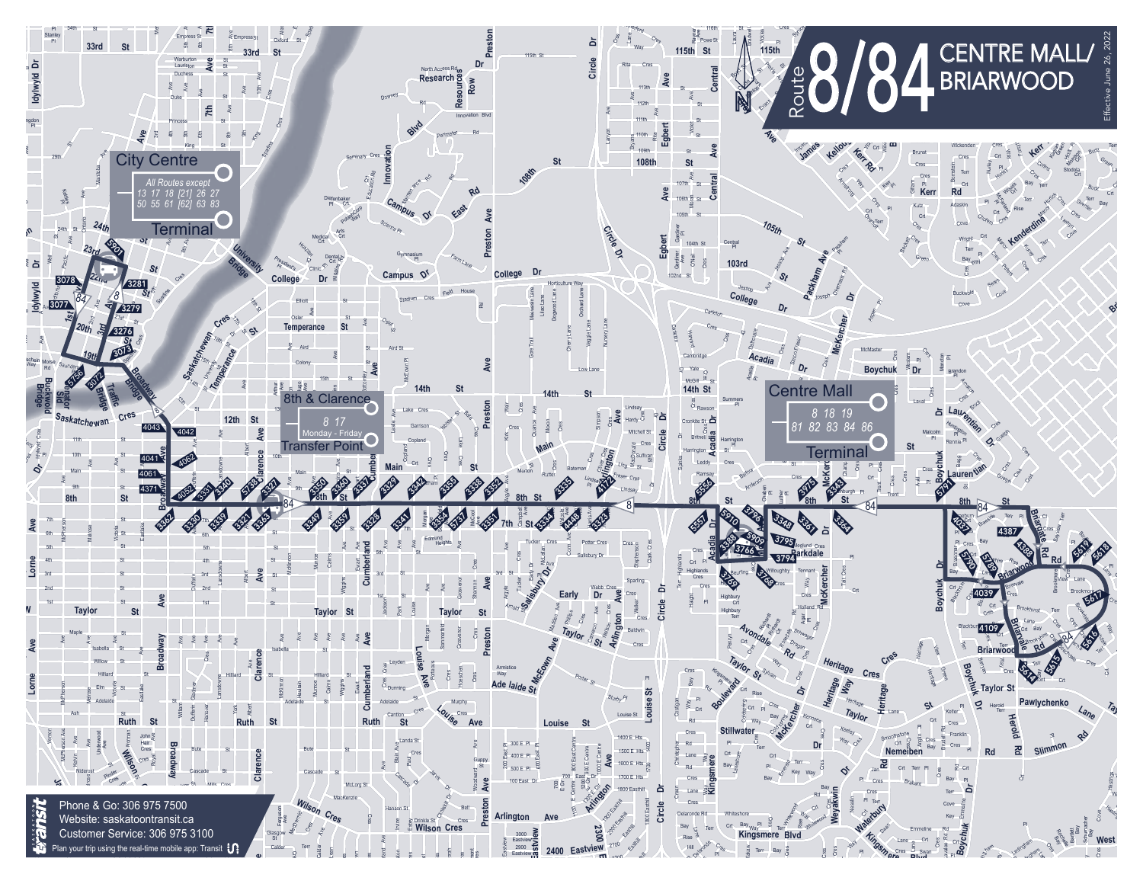